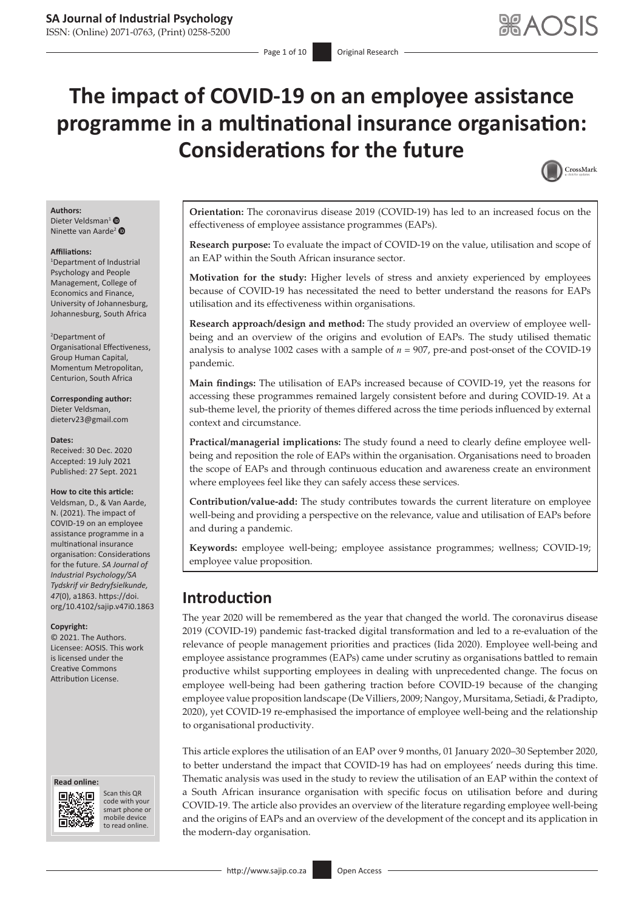# **The impact of COVID-19 on an employee assistance programme in a multinational insurance organisation: Considerations for the future**



### **Authors:**

Dieter Veldsman<sup>1</sup> Ninette van Aarde<sup>2</sup>

#### **Affiliations:**

1 Department of Industrial Psychology and People Management, College of Economics and Finance, University of Johannesburg, Johannesburg, South Africa

### 2 Department of

Organisational Effectiveness, Group Human Capital, Momentum Metropolitan, Centurion, South Africa

**Corresponding author:** Dieter Veldsman, [dieterv23@gmail.com](mailto:dieterv23@gmail.com)

#### **Dates:**

Received: 30 Dec. 2020 Accepted: 19 July 2021 Published: 27 Sept. 2021

#### **How to cite this article:**

Veldsman, D., & Van Aarde, N. (2021). The impact of COVID-19 on an employee assistance programme in a multinational insurance organisation: Considerations for the future. *SA Journal of Industrial Psychology/SA Tydskrif vir Bedryfsielkunde, 47*(0), a1863. [https://doi.](https://doi.org/10.4102/sajip.v47i0.1863) [org/10.4102/sajip.v47i0.1863](https://doi.org/10.4102/sajip.v47i0.1863)

#### **Copyright:**

© 2021. The Authors. Licensee: AOSIS. This work is licensed under the Creative Commons Attribution License.

#### **Read online: Read online:**



Scan this QR code with your Scan this QR<br>code with your<br>smart phone or<br>mobile device mobile device to read online. to read online.

**Orientation:** The coronavirus disease 2019 (COVID-19) has led to an increased focus on the effectiveness of employee assistance programmes (EAPs).

**Research purpose:** To evaluate the impact of COVID-19 on the value, utilisation and scope of an EAP within the South African insurance sector.

**Motivation for the study:** Higher levels of stress and anxiety experienced by employees because of COVID-19 has necessitated the need to better understand the reasons for EAPs utilisation and its effectiveness within organisations.

**Research approach/design and method:** The study provided an overview of employee wellbeing and an overview of the origins and evolution of EAPs. The study utilised thematic analysis to analyse 1002 cases with a sample of *n* = 907, pre-and post-onset of the COVID-19 pandemic.

**Main findings:** The utilisation of EAPs increased because of COVID-19, yet the reasons for accessing these programmes remained largely consistent before and during COVID-19. At a sub-theme level, the priority of themes differed across the time periods influenced by external context and circumstance.

**Practical/managerial implications:** The study found a need to clearly define employee wellbeing and reposition the role of EAPs within the organisation. Organisations need to broaden the scope of EAPs and through continuous education and awareness create an environment where employees feel like they can safely access these services.

**Contribution/value-add:** The study contributes towards the current literature on employee well-being and providing a perspective on the relevance, value and utilisation of EAPs before and during a pandemic.

**Keywords:** employee well-being; employee assistance programmes; wellness; COVID-19; employee value proposition.

### **Introduction**

The year 2020 will be remembered as the year that changed the world. The coronavirus disease 2019 (COVID-19) pandemic fast-tracked digital transformation and led to a re-evaluation of the relevance of people management priorities and practices (Iida 2020). Employee well-being and employee assistance programmes (EAPs) came under scrutiny as organisations battled to remain productive whilst supporting employees in dealing with unprecedented change. The focus on employee well-being had been gathering traction before COVID-19 because of the changing employee value proposition landscape (De Villiers, 2009; Nangoy, Mursitama, Setiadi, & Pradipto, 2020), yet COVID-19 re-emphasised the importance of employee well-being and the relationship to organisational productivity.

This article explores the utilisation of an EAP over 9 months, 01 January 2020–30 September 2020, to better understand the impact that COVID-19 has had on employees' needs during this time. Thematic analysis was used in the study to review the utilisation of an EAP within the context of a South African insurance organisation with specific focus on utilisation before and during COVID-19. The article also provides an overview of the literature regarding employee well-being and the origins of EAPs and an overview of the development of the concept and its application in the modern-day organisation.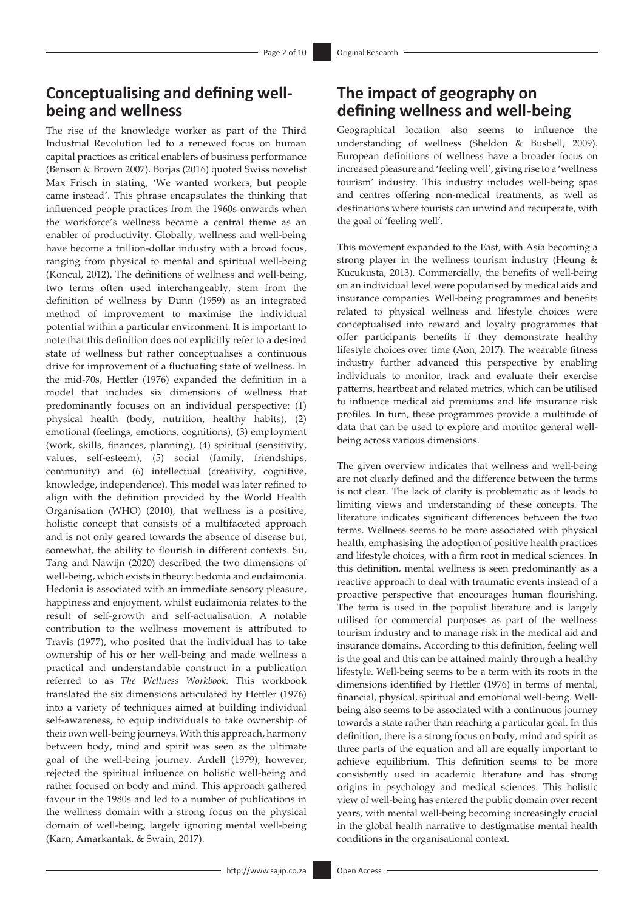# **Conceptualising and defining wellbeing and wellness**

The rise of the knowledge worker as part of the Third Industrial Revolution led to a renewed focus on human capital practices as critical enablers of business performance (Benson & Brown 2007). Borjas (2016) quoted Swiss novelist Max Frisch in stating, 'We wanted workers, but people came instead'. This phrase encapsulates the thinking that influenced people practices from the 1960s onwards when the workforce's wellness became a central theme as an enabler of productivity. Globally, wellness and well-being have become a trillion-dollar industry with a broad focus, ranging from physical to mental and spiritual well-being (Koncul, 2012). The definitions of wellness and well-being, two terms often used interchangeably, stem from the definition of wellness by Dunn (1959) as an integrated method of improvement to maximise the individual potential within a particular environment. It is important to note that this definition does not explicitly refer to a desired state of wellness but rather conceptualises a continuous drive for improvement of a fluctuating state of wellness. In the mid-70s, Hettler (1976) expanded the definition in a model that includes six dimensions of wellness that predominantly focuses on an individual perspective: (1) physical health (body, nutrition, healthy habits), (2) emotional (feelings, emotions, cognitions), (3) employment (work, skills, finances, planning), (4) spiritual (sensitivity, values, self-esteem), (5) social (family, friendships, community) and (6) intellectual (creativity, cognitive, knowledge, independence). This model was later refined to align with the definition provided by the World Health Organisation (WHO) (2010), that wellness is a positive, holistic concept that consists of a multifaceted approach and is not only geared towards the absence of disease but, somewhat, the ability to flourish in different contexts. Su, Tang and Nawijn (2020) described the two dimensions of well-being, which exists in theory: hedonia and eudaimonia. Hedonia is associated with an immediate sensory pleasure, happiness and enjoyment, whilst eudaimonia relates to the result of self-growth and self-actualisation. A notable contribution to the wellness movement is attributed to Travis (1977), who posited that the individual has to take ownership of his or her well-being and made wellness a practical and understandable construct in a publication referred to as *The Wellness Workbook*. This workbook translated the six dimensions articulated by Hettler (1976) into a variety of techniques aimed at building individual self-awareness, to equip individuals to take ownership of their own well-being journeys. With this approach, harmony between body, mind and spirit was seen as the ultimate goal of the well-being journey. Ardell (1979), however, rejected the spiritual influence on holistic well-being and rather focused on body and mind. This approach gathered favour in the 1980s and led to a number of publications in the wellness domain with a strong focus on the physical domain of well-being, largely ignoring mental well-being (Karn, Amarkantak, & Swain, 2017).

# **The impact of geography on defining wellness and well-being**

Geographical location also seems to influence the understanding of wellness (Sheldon & Bushell, 2009). European definitions of wellness have a broader focus on increased pleasure and 'feeling well', giving rise to a 'wellness tourism' industry. This industry includes well-being spas and centres offering non-medical treatments, as well as destinations where tourists can unwind and recuperate, with the goal of 'feeling well'.

This movement expanded to the East, with Asia becoming a strong player in the wellness tourism industry (Heung & Kucukusta, 2013). Commercially, the benefits of well-being on an individual level were popularised by medical aids and insurance companies. Well-being programmes and benefits related to physical wellness and lifestyle choices were conceptualised into reward and loyalty programmes that offer participants benefits if they demonstrate healthy lifestyle choices over time (Aon, 2017). The wearable fitness industry further advanced this perspective by enabling individuals to monitor, track and evaluate their exercise patterns, heartbeat and related metrics, which can be utilised to influence medical aid premiums and life insurance risk profiles. In turn, these programmes provide a multitude of data that can be used to explore and monitor general wellbeing across various dimensions.

The given overview indicates that wellness and well-being are not clearly defined and the difference between the terms is not clear. The lack of clarity is problematic as it leads to limiting views and understanding of these concepts. The literature indicates significant differences between the two terms. Wellness seems to be more associated with physical health, emphasising the adoption of positive health practices and lifestyle choices, with a firm root in medical sciences. In this definition, mental wellness is seen predominantly as a reactive approach to deal with traumatic events instead of a proactive perspective that encourages human flourishing. The term is used in the populist literature and is largely utilised for commercial purposes as part of the wellness tourism industry and to manage risk in the medical aid and insurance domains. According to this definition, feeling well is the goal and this can be attained mainly through a healthy lifestyle. Well-being seems to be a term with its roots in the dimensions identified by Hettler (1976) in terms of mental, financial, physical, spiritual and emotional well-being. Wellbeing also seems to be associated with a continuous journey towards a state rather than reaching a particular goal. In this definition, there is a strong focus on body, mind and spirit as three parts of the equation and all are equally important to achieve equilibrium. This definition seems to be more consistently used in academic literature and has strong origins in psychology and medical sciences. This holistic view of well-being has entered the public domain over recent years, with mental well-being becoming increasingly crucial in the global health narrative to destigmatise mental health conditions in the organisational context.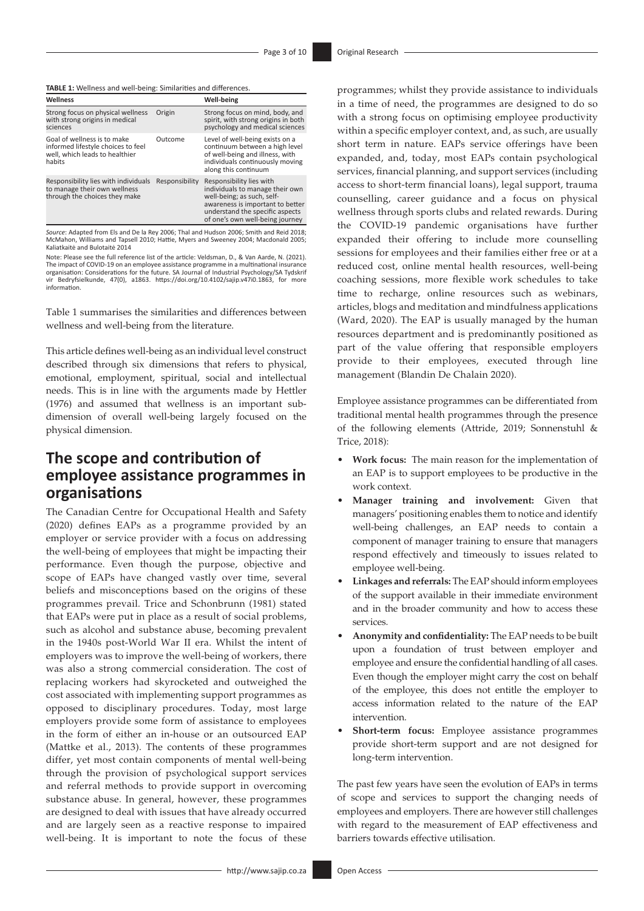**TABLE 1:** Wellness and well-being: Similarities and differences.

| Wellness                                                                                                      |                | Well-being                                                                                                                                                                                          |
|---------------------------------------------------------------------------------------------------------------|----------------|-----------------------------------------------------------------------------------------------------------------------------------------------------------------------------------------------------|
| Strong focus on physical wellness<br>with strong origins in medical<br>sciences                               | Origin         | Strong focus on mind, body, and<br>spirit, with strong origins in both<br>psychology and medical sciences                                                                                           |
| Goal of wellness is to make<br>informed lifestyle choices to feel<br>well, which leads to healthier<br>habits | Outcome        | Level of well-being exists on a<br>continuum between a high level<br>of well-being and illness, with<br>individuals continuously moving<br>along this continuum                                     |
| Responsibility lies with individuals<br>to manage their own wellness<br>through the choices they make         | Responsibility | Responsibility lies with<br>individuals to manage their own<br>well-being; as such, self-<br>awareness is important to better<br>understand the specific aspects<br>of one's own well-being journey |

*Source*: Adapted from Els and De la Rey 2006; Thal and Hudson 2006; Smith and Reid 2018; McMahon, Williams and Tapsell 2010; Hattie, Myers and Sweeney 2004; Macdonald 2005; Kaliatkaitė and Bulotaitė 2014

Note: Please see the full reference list of the article: Veldsman, D., & Van Aarde, N. (2021). The impact of COVID-19 on an employee assistance programme in a multinational insurance organisation: Considerations for the future. SA Journal of Industrial Psychology/SA Tydskrif vir Bedryfsielkunde, 47(0), a1863. [https://doi.org/10.4102/sajip.v47i0.1863,](https://doi.org/10.4102/sajip.v47i0.1863) for more information.

Table 1 summarises the similarities and differences between wellness and well-being from the literature.

This article defines well-being as an individual level construct described through six dimensions that refers to physical, emotional, employment, spiritual, social and intellectual needs. This is in line with the arguments made by Hettler (1976) and assumed that wellness is an important subdimension of overall well-being largely focused on the physical dimension.

# **The scope and contribution of employee assistance programmes in organisations**

The Canadian Centre for Occupational Health and Safety (2020) defines EAPs as a programme provided by an employer or service provider with a focus on addressing the well-being of employees that might be impacting their performance. Even though the purpose, objective and scope of EAPs have changed vastly over time, several beliefs and misconceptions based on the origins of these programmes prevail. Trice and Schonbrunn (1981) stated that EAPs were put in place as a result of social problems, such as alcohol and substance abuse, becoming prevalent in the 1940s post-World War II era. Whilst the intent of employers was to improve the well-being of workers, there was also a strong commercial consideration. The cost of replacing workers had skyrocketed and outweighed the cost associated with implementing support programmes as opposed to disciplinary procedures. Today, most large employers provide some form of assistance to employees in the form of either an in-house or an outsourced EAP (Mattke et al., 2013). The contents of these programmes differ, yet most contain components of mental well-being through the provision of psychological support services and referral methods to provide support in overcoming substance abuse. In general, however, these programmes are designed to deal with issues that have already occurred and are largely seen as a reactive response to impaired well-being. It is important to note the focus of these programmes; whilst they provide assistance to individuals in a time of need, the programmes are designed to do so with a strong focus on optimising employee productivity within a specific employer context, and, as such, are usually short term in nature. EAPs service offerings have been expanded, and, today, most EAPs contain psychological services, financial planning, and support services (including access to short-term financial loans), legal support, trauma counselling, career guidance and a focus on physical wellness through sports clubs and related rewards. During the COVID-19 pandemic organisations have further expanded their offering to include more counselling sessions for employees and their families either free or at a reduced cost, online mental health resources, well-being coaching sessions, more flexible work schedules to take time to recharge, online resources such as webinars, articles, blogs and meditation and mindfulness applications (Ward, 2020). The EAP is usually managed by the human resources department and is predominantly positioned as part of the value offering that responsible employers provide to their employees, executed through line management (Blandin De Chalain 2020).

Employee assistance programmes can be differentiated from traditional mental health programmes through the presence of the following elements (Attride, 2019; Sonnenstuhl & Trice, 2018):

- **• Work focus:** The main reason for the implementation of an EAP is to support employees to be productive in the work context.
- **Manager training and involvement:** Given that managers' positioning enables them to notice and identify well-being challenges, an EAP needs to contain a component of manager training to ensure that managers respond effectively and timeously to issues related to employee well-being.
- **Linkages and referrals:** The EAP should inform employees of the support available in their immediate environment and in the broader community and how to access these services.
- **Anonymity and confidentiality:** The EAP needs to be built upon a foundation of trust between employer and employee and ensure the confidential handling of all cases. Even though the employer might carry the cost on behalf of the employee, this does not entitle the employer to access information related to the nature of the EAP intervention.
- **Short-term focus:** Employee assistance programmes provide short-term support and are not designed for long-term intervention.

The past few years have seen the evolution of EAPs in terms of scope and services to support the changing needs of employees and employers. There are however still challenges with regard to the measurement of EAP effectiveness and barriers towards effective utilisation.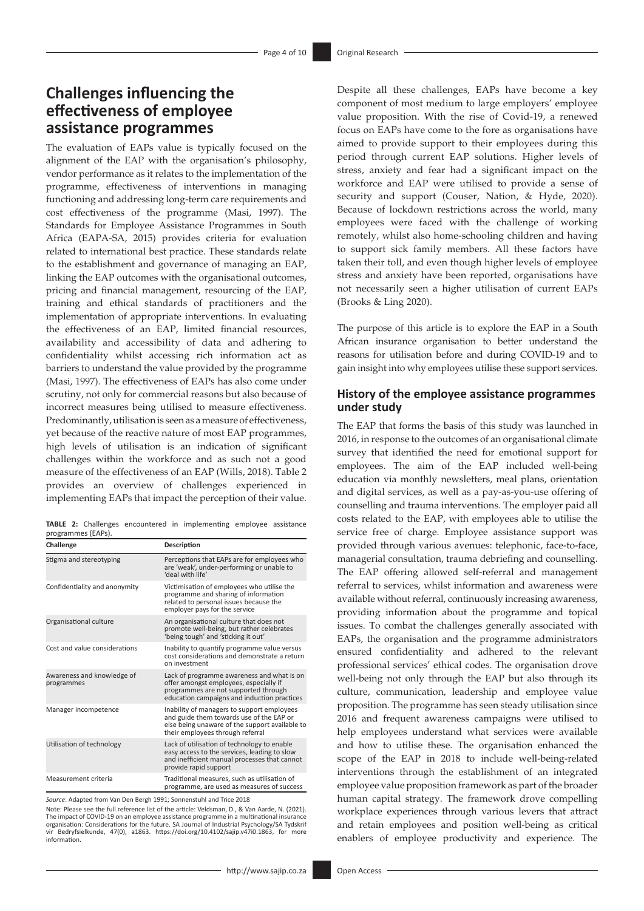# **Challenges influencing the effectiveness of employee assistance programmes**

The evaluation of EAPs value is typically focused on the alignment of the EAP with the organisation's philosophy, vendor performance as it relates to the implementation of the programme, effectiveness of interventions in managing functioning and addressing long-term care requirements and cost effectiveness of the programme (Masi, 1997). The Standards for Employee Assistance Programmes in South Africa (EAPA-SA, 2015) provides criteria for evaluation related to international best practice. These standards relate to the establishment and governance of managing an EAP, linking the EAP outcomes with the organisational outcomes, pricing and financial management, resourcing of the EAP, training and ethical standards of practitioners and the implementation of appropriate interventions. In evaluating the effectiveness of an EAP, limited financial resources, availability and accessibility of data and adhering to confidentiality whilst accessing rich information act as barriers to understand the value provided by the programme (Masi, 1997). The effectiveness of EAPs has also come under scrutiny, not only for commercial reasons but also because of incorrect measures being utilised to measure effectiveness. Predominantly, utilisation is seen as a measure of effectiveness, yet because of the reactive nature of most EAP programmes, high levels of utilisation is an indication of significant challenges within the workforce and as such not a good measure of the effectiveness of an EAP (Wills, 2018). Table 2 provides an overview of challenges experienced in implementing EAPs that impact the perception of their value.

**TABLE 2:** Challenges encountered in implementing employee assistance programmes (EAPs).

| Challenge                                | Description                                                                                                                                                                  |
|------------------------------------------|------------------------------------------------------------------------------------------------------------------------------------------------------------------------------|
| Stigma and stereotyping                  | Perceptions that EAPs are for employees who<br>are 'weak', under-performing or unable to<br>'deal with life'                                                                 |
| Confidentiality and anonymity            | Victimisation of employees who utilise the<br>programme and sharing of information<br>related to personal issues because the<br>employer pays for the service                |
| Organisational culture                   | An organisational culture that does not<br>promote well-being, but rather celebrates<br>'being tough' and 'sticking it out'                                                  |
| Cost and value considerations            | Inability to quantify programme value versus<br>cost considerations and demonstrate a return<br>on investment                                                                |
| Awareness and knowledge of<br>programmes | Lack of programme awareness and what is on<br>offer amongst employees, especially if<br>programmes are not supported through<br>education campaigns and induction practices  |
| Manager incompetence                     | Inability of managers to support employees<br>and guide them towards use of the EAP or<br>else being unaware of the support available to<br>their employees through referral |
| Utilisation of technology                | Lack of utilisation of technology to enable<br>easy access to the services, leading to slow<br>and inefficient manual processes that cannot<br>provide rapid support         |
| Measurement criteria                     | Traditional measures, such as utilisation of<br>programme, are used as measures of success                                                                                   |

*Source*: Adapted from Van Den Bergh 1991; Sonnenstuhl and Trice 2018

Note: Please see the full reference list of the article: Veldsman, D., & Van Aarde, N. (2021). The impact of COVID-19 on an employee assistance programme in a multinational insurance organisation: Considerations for the future. SA Journal of Industrial Psychology/SA Tydskrif vir Bedryfsielkunde, 47(0), a1863. [https://doi.org/10.4102/sajip.v47i0.1863,](https://doi.org/10.4102/sajip.v47i0.1863) for more information.

Despite all these challenges, EAPs have become a key component of most medium to large employers' employee value proposition. With the rise of Covid-19, a renewed focus on EAPs have come to the fore as organisations have aimed to provide support to their employees during this period through current EAP solutions. Higher levels of stress, anxiety and fear had a significant impact on the workforce and EAP were utilised to provide a sense of security and support (Couser, Nation, & Hyde, 2020). Because of lockdown restrictions across the world, many employees were faced with the challenge of working remotely, whilst also home-schooling children and having to support sick family members. All these factors have taken their toll, and even though higher levels of employee stress and anxiety have been reported, organisations have not necessarily seen a higher utilisation of current EAPs (Brooks & Ling 2020).

The purpose of this article is to explore the EAP in a South African insurance organisation to better understand the reasons for utilisation before and during COVID-19 and to gain insight into why employees utilise these support services.

### **History of the employee assistance programmes under study**

The EAP that forms the basis of this study was launched in 2016, in response to the outcomes of an organisational climate survey that identified the need for emotional support for employees. The aim of the EAP included well-being education via monthly newsletters, meal plans, orientation and digital services, as well as a pay-as-you-use offering of counselling and trauma interventions. The employer paid all costs related to the EAP, with employees able to utilise the service free of charge. Employee assistance support was provided through various avenues: telephonic, face-to-face, managerial consultation, trauma debriefing and counselling. The EAP offering allowed self-referral and management referral to services, whilst information and awareness were available without referral, continuously increasing awareness, providing information about the programme and topical issues. To combat the challenges generally associated with EAPs, the organisation and the programme administrators ensured confidentiality and adhered to the relevant professional services' ethical codes. The organisation drove well-being not only through the EAP but also through its culture, communication, leadership and employee value proposition. The programme has seen steady utilisation since 2016 and frequent awareness campaigns were utilised to help employees understand what services were available and how to utilise these. The organisation enhanced the scope of the EAP in 2018 to include well-being-related interventions through the establishment of an integrated employee value proposition framework as part of the broader human capital strategy. The framework drove compelling workplace experiences through various levers that attract and retain employees and position well-being as critical enablers of employee productivity and experience. The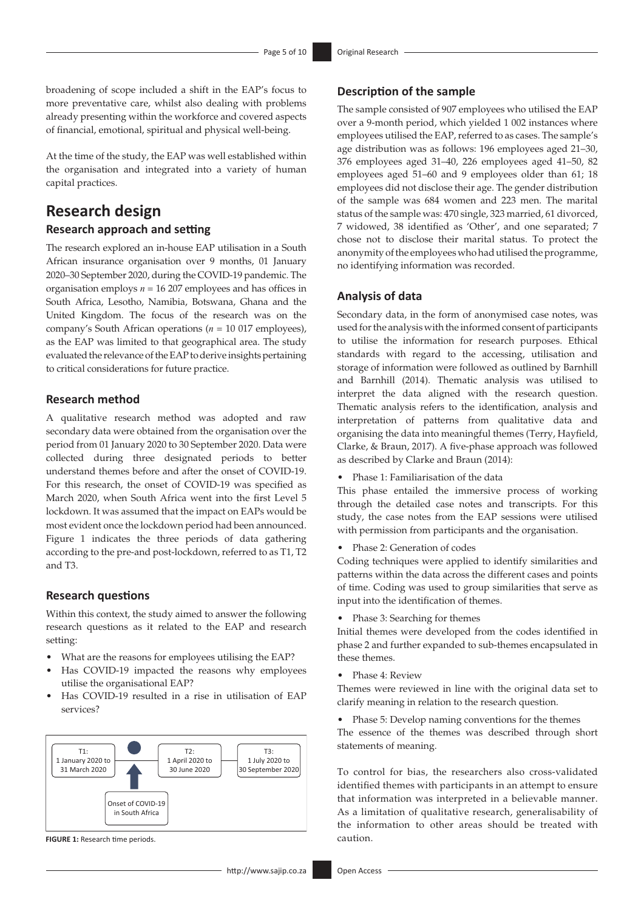broadening of scope included a shift in the EAP's focus to more preventative care, whilst also dealing with problems already presenting within the workforce and covered aspects of financial, emotional, spiritual and physical well-being.

At the time of the study, the EAP was well established within the organisation and integrated into a variety of human capital practices.

### **Research design**

### **Research approach and setting**

The research explored an in-house EAP utilisation in a South African insurance organisation over 9 months, 01 January 2020–30 September 2020, during the COVID-19 pandemic. The organisation employs *n* = 16 207 employees and has offices in South Africa, Lesotho, Namibia, Botswana, Ghana and the United Kingdom. The focus of the research was on the company's South African operations (*n* = 10 017 employees), as the EAP was limited to that geographical area. The study evaluated the relevance of the EAP to derive insights pertaining to critical considerations for future practice.

### **Research method**

A qualitative research method was adopted and raw secondary data were obtained from the organisation over the period from 01 January 2020 to 30 September 2020. Data were collected during three designated periods to better understand themes before and after the onset of COVID-19. For this research, the onset of COVID-19 was specified as March 2020, when South Africa went into the first Level 5 lockdown. It was assumed that the impact on EAPs would be most evident once the lockdown period had been announced. Figure 1 indicates the three periods of data gathering according to the pre-and post-lockdown, referred to as T1, T2 and T3.

### **Research questions**

Within this context, the study aimed to answer the following research questions as it related to the EAP and research setting:

- What are the reasons for employees utilising the EAP?
- Has COVID-19 impacted the reasons why employees utilise the organisational EAP?
- Has COVID-19 resulted in a rise in utilisation of EAP services?



### **Description of the sample**

The sample consisted of 907 employees who utilised the EAP over a 9-month period, which yielded 1 002 instances where employees utilised the EAP, referred to as cases. The sample's age distribution was as follows: 196 employees aged 21–30, 376 employees aged 31–40, 226 employees aged 41–50, 82 employees aged 51–60 and 9 employees older than 61; 18 employees did not disclose their age. The gender distribution of the sample was 684 women and 223 men. The marital status of the sample was: 470 single, 323 married, 61 divorced, 7 widowed, 38 identified as 'Other', and one separated; 7 chose not to disclose their marital status. To protect the anonymity of the employees who had utilised the programme, no identifying information was recorded.

### **Analysis of data**

Secondary data, in the form of anonymised case notes, was used for the analysis with the informed consent of participants to utilise the information for research purposes. Ethical standards with regard to the accessing, utilisation and storage of information were followed as outlined by Barnhill and Barnhill (2014). Thematic analysis was utilised to interpret the data aligned with the research question. Thematic analysis refers to the identification, analysis and interpretation of patterns from qualitative data and organising the data into meaningful themes (Terry, Hayfield, Clarke, & Braun, 2017). A five-phase approach was followed as described by Clarke and Braun (2014):

• Phase 1: Familiarisation of the data

This phase entailed the immersive process of working through the detailed case notes and transcripts. For this study, the case notes from the EAP sessions were utilised with permission from participants and the organisation.

• Phase 2: Generation of codes

Coding techniques were applied to identify similarities and patterns within the data across the different cases and points of time. Coding was used to group similarities that serve as input into the identification of themes.

• Phase 3: Searching for themes

Initial themes were developed from the codes identified in phase 2 and further expanded to sub-themes encapsulated in these themes.

• Phase 4: Review

Themes were reviewed in line with the original data set to clarify meaning in relation to the research question.

• Phase 5: Develop naming conventions for the themes The essence of the themes was described through short statements of meaning.

To control for bias, the researchers also cross-validated identified themes with participants in an attempt to ensure that information was interpreted in a believable manner. As a limitation of qualitative research, generalisability of the information to other areas should be treated with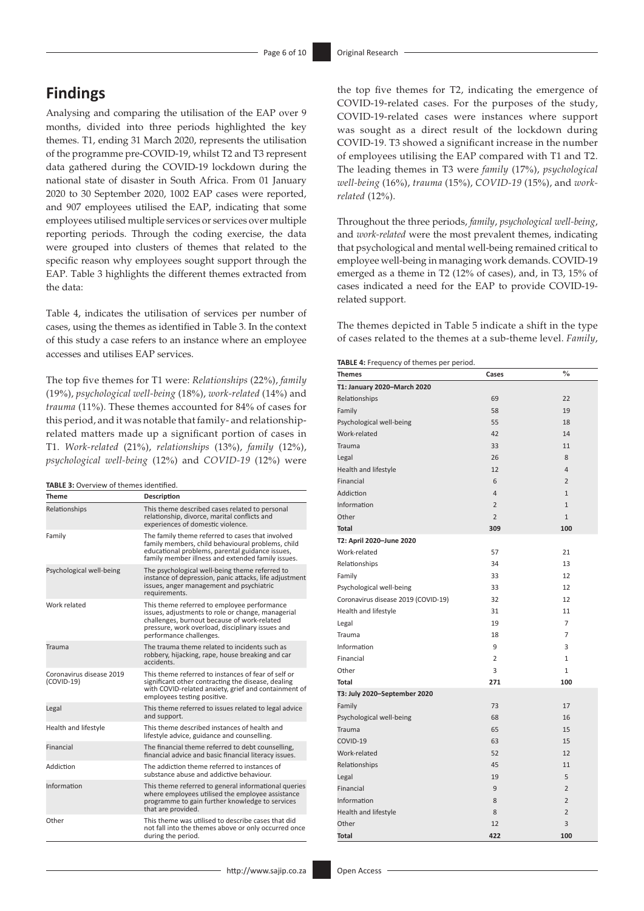# **Findings**

Analysing and comparing the utilisation of the EAP over 9 months, divided into three periods highlighted the key themes. T1, ending 31 March 2020, represents the utilisation of the programme pre-COVID-19, whilst T2 and T3 represent data gathered during the COVID-19 lockdown during the national state of disaster in South Africa. From 01 January 2020 to 30 September 2020, 1002 EAP cases were reported, and 907 employees utilised the EAP, indicating that some employees utilised multiple services or services over multiple reporting periods. Through the coding exercise, the data were grouped into clusters of themes that related to the specific reason why employees sought support through the EAP. Table 3 highlights the different themes extracted from the data:

Table 4, indicates the utilisation of services per number of cases, using the themes as identified in Table 3. In the context of this study a case refers to an instance where an employee accesses and utilises EAP services.

The top five themes for T1 were: *Relationships* (22%), *family* (19%), *psychological well-being* (18%), *work-related* (14%) and *trauma* (11%). These themes accounted for 84% of cases for this period, and it was notable that family- and relationshiprelated matters made up a significant portion of cases in T1. *Work-related* (21%), *relationships* (13%), *family* (12%), *psychological well-being* (12%) and *COVID-19* (12%) were

#### **TABLE 3:** Overview of themes identified.

| <b>Theme</b>                             | Description                                                                                                                                                                                                                    |
|------------------------------------------|--------------------------------------------------------------------------------------------------------------------------------------------------------------------------------------------------------------------------------|
| Relationships                            | This theme described cases related to personal<br>relationship, divorce, marital conflicts and<br>experiences of domestic violence.                                                                                            |
| Family                                   | The family theme referred to cases that involved<br>family members, child behavioural problems, child<br>educational problems, parental guidance issues,<br>family member illness and extended family issues.                  |
| Psychological well-being                 | The psychological well-being theme referred to<br>instance of depression, panic attacks, life adjustment<br>issues, anger management and psychiatric<br>requirements.                                                          |
| Work related                             | This theme referred to employee performance<br>issues, adjustments to role or change, managerial<br>challenges, burnout because of work-related<br>pressure, work overload, disciplinary issues and<br>performance challenges. |
| Trauma                                   | The trauma theme related to incidents such as<br>robbery, hijacking, rape, house breaking and car<br>accidents.                                                                                                                |
| Coronavirus disease 2019<br>$(COVID-19)$ | This theme referred to instances of fear of self or<br>significant other contracting the disease, dealing<br>with COVID-related anxiety, grief and containment of<br>employees testing positive.                               |
| Legal                                    | This theme referred to issues related to legal advice<br>and support.                                                                                                                                                          |
| Health and lifestyle                     | This theme described instances of health and<br>lifestyle advice, guidance and counselling.                                                                                                                                    |
| Financial                                | The financial theme referred to debt counselling,<br>financial advice and basic financial literacy issues.                                                                                                                     |
| Addiction                                | The addiction theme referred to instances of<br>substance abuse and addictive behaviour.                                                                                                                                       |
| Information                              | This theme referred to general informational queries<br>where employees utilised the employee assistance<br>programme to gain further knowledge to services<br>that are provided.                                              |
| Other                                    | This theme was utilised to describe cases that did<br>not fall into the themes above or only occurred once<br>during the period.                                                                                               |

the top five themes for T2, indicating the emergence of COVID-19-related cases. For the purposes of the study, COVID-19-related cases were instances where support was sought as a direct result of the lockdown during COVID-19. T3 showed a significant increase in the number of employees utilising the EAP compared with T1 and T2. The leading themes in T3 were *family* (17%), *psychological well-being* (16%), *trauma* (15%), *COVID-19* (15%), and *workrelated* (12%).

Throughout the three periods, *family*, *psychological well-being*, and *work-related* were the most prevalent themes, indicating that psychological and mental well-being remained critical to employee well-being in managing work demands. COVID-19 emerged as a theme in T2 (12% of cases), and, in T3, 15% of cases indicated a need for the EAP to provide COVID-19 related support.

The themes depicted in Table 5 indicate a shift in the type of cases related to the themes at a sub-theme level. *Family*,

**TABLE** 4: Frequency of themes per period

| $$<br>o, anomos por<br><b>Themes</b> | Cases          | $\frac{0}{0}$  |
|--------------------------------------|----------------|----------------|
| T1: January 2020-March 2020          |                |                |
| Relationships                        | 69             | 22             |
| Family                               | 58             | 19             |
| Psychological well-being             | 55             | 18             |
| Work-related                         | 42             | 14             |
| Trauma                               | 33             | 11             |
| Legal                                | 26             | 8              |
| Health and lifestyle                 | 12             | $\overline{4}$ |
| Financial                            | 6              | $\overline{2}$ |
| Addiction                            | $\overline{4}$ | $\overline{1}$ |
| Information                          | $\overline{2}$ | $\mathbf{1}$   |
| Other                                | $\overline{2}$ | $\overline{1}$ |
| <b>Total</b>                         | 309            | 100            |
| T2: April 2020-June 2020             |                |                |
| Work-related                         | 57             | 21             |
| Relationships                        | 34             | 13             |
| Family                               | 33             | 12             |
| Psychological well-being             | 33             | 12             |
| Coronavirus disease 2019 (COVID-19)  | 32             | 12             |
| Health and lifestyle                 | 31             | 11             |
| Legal                                | 19             | $\overline{7}$ |
| Trauma                               | 18             | $\overline{7}$ |
| Information                          | 9              | 3              |
| Financial                            | $\overline{2}$ | $\mathbf{1}$   |
| Other                                | 3              | $\mathbf{1}$   |
| <b>Total</b>                         | 271            | 100            |
| T3: July 2020-September 2020         |                |                |
| Family                               | 73             | 17             |
| Psychological well-being             | 68             | 16             |
| <b>Trauma</b>                        | 65             | 15             |
| COVID-19                             | 63             | 15             |
| Work-related                         | 52             | 12             |
| Relationships                        | 45             | 11             |
| Legal                                | 19             | 5              |
| Financial                            | 9              | $\overline{2}$ |
| Information                          | 8              | $\overline{2}$ |
| Health and lifestyle                 | 8              | $\overline{2}$ |
| Other                                | 12             | 3              |
| <b>Total</b>                         | 422            | 100            |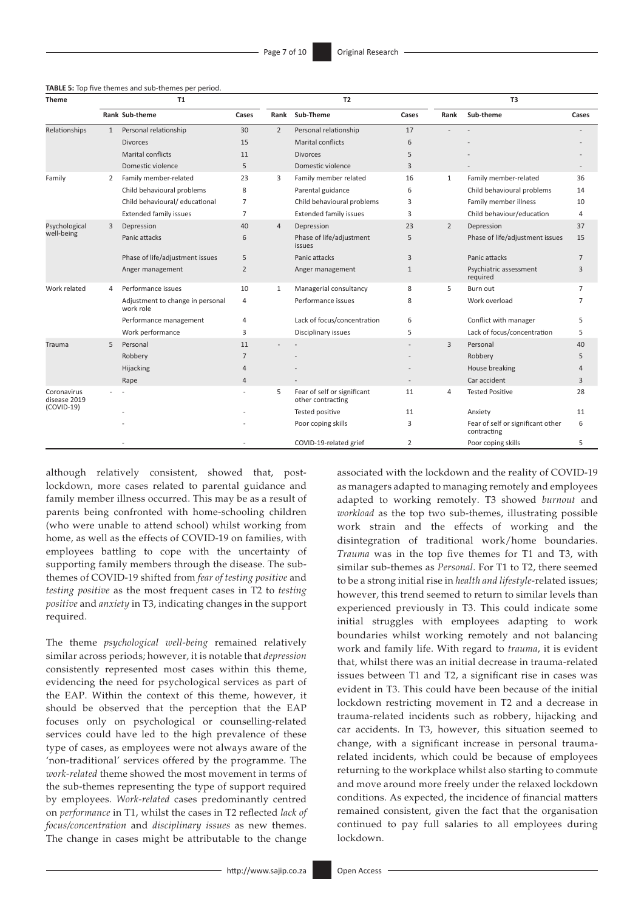| <b>Theme</b>                                | T1           |                                               |                |                | <b>T2</b>                                        |              |                | T <sub>3</sub>                                   |                |  |
|---------------------------------------------|--------------|-----------------------------------------------|----------------|----------------|--------------------------------------------------|--------------|----------------|--------------------------------------------------|----------------|--|
|                                             |              | Rank Sub-theme                                | Cases          | Rank           | Sub-Theme                                        | Cases        | Rank           | Sub-theme                                        | Cases          |  |
| Relationships                               | $\mathbf{1}$ | Personal relationship                         | 30             | $\overline{2}$ | Personal relationship                            | 17           |                |                                                  |                |  |
|                                             |              | <b>Divorces</b>                               | 15             |                | <b>Marital conflicts</b>                         | 6            |                |                                                  |                |  |
|                                             |              | <b>Marital conflicts</b>                      | 11             |                | <b>Divorces</b>                                  | 5            |                |                                                  |                |  |
|                                             |              | Domestic violence                             | 5              |                | Domestic violence                                | 3            |                |                                                  |                |  |
| Family                                      | 2            | Family member-related                         | 23             | 3              | Family member related                            | 16           | $\mathbf{1}$   | Family member-related                            | 36             |  |
|                                             |              | Child behavioural problems                    | 8              |                | Parental guidance                                | 6            |                | Child behavioural problems                       | 14             |  |
|                                             |              | Child behavioural/ educational                | $\overline{7}$ |                | Child behavioural problems                       | 3            |                | Family member illness                            | 10             |  |
|                                             |              | <b>Extended family issues</b>                 | $\overline{7}$ |                | <b>Extended family issues</b>                    | 3            |                | Child behaviour/education                        | 4              |  |
| Psychological<br>well-being                 | 3            | Depression                                    | 40             | $\overline{4}$ | Depression                                       | 23           | $\overline{2}$ | Depression                                       | 37             |  |
|                                             |              | Panic attacks                                 | 6              |                | Phase of life/adjustment<br>issues               | 5            |                | Phase of life/adjustment issues                  | 15             |  |
|                                             |              | Phase of life/adjustment issues               | 5              |                | Panic attacks                                    | 3            |                | Panic attacks                                    | $\overline{7}$ |  |
|                                             |              | Anger management                              | 2              |                | Anger management                                 | $\mathbf{1}$ |                | Psychiatric assessment<br>required               | 3              |  |
| Work related                                | 4            | Performance issues                            | 10             | $\mathbf{1}$   | Managerial consultancy                           | 8            | 5              | Burn out                                         | $\overline{7}$ |  |
|                                             |              | Adjustment to change in personal<br>work role | $\overline{4}$ |                | Performance issues                               | 8            |                | Work overload                                    | 7              |  |
|                                             |              | Performance management                        | 4              |                | Lack of focus/concentration                      | 6            |                | Conflict with manager                            | 5              |  |
|                                             |              | Work performance                              | 3              |                | Disciplinary issues                              | 5            |                | Lack of focus/concentration                      | 5              |  |
| Trauma                                      | 5            | Personal                                      | 11             |                |                                                  |              | 3              | Personal                                         | 40             |  |
|                                             |              | Robbery                                       | $\overline{7}$ |                |                                                  |              |                | Robbery                                          | 5              |  |
|                                             |              | Hijacking                                     | 4              |                |                                                  |              |                | House breaking                                   | Δ              |  |
|                                             |              | Rape                                          | $\overline{4}$ |                |                                                  |              |                | Car accident                                     | 3              |  |
| Coronavirus<br>disease 2019<br>$(COVID-19)$ |              |                                               |                | 5              | Fear of self or significant<br>other contracting | 11           | 4              | <b>Tested Positive</b>                           | 28             |  |
|                                             |              |                                               |                |                | Tested positive                                  | 11           |                | Anxiety                                          | 11             |  |
|                                             |              |                                               |                |                | Poor coping skills                               | 3            |                | Fear of self or significant other<br>contracting | 6              |  |
|                                             |              |                                               |                |                | COVID-19-related grief                           | 2            |                | Poor coping skills                               | 5              |  |

### **TABLE 5:** Top five themes and sub-themes per period.

although relatively consistent, showed that, postlockdown, more cases related to parental guidance and family member illness occurred. This may be as a result of parents being confronted with home-schooling children (who were unable to attend school) whilst working from home, as well as the effects of COVID-19 on families, with employees battling to cope with the uncertainty of supporting family members through the disease. The subthemes of COVID-19 shifted from *fear of testing positive* and *testing positive* as the most frequent cases in T2 to *testing positive* and *anxiety* in T3, indicating changes in the support required.

The theme *psychological well-being* remained relatively similar across periods; however, it is notable that *depression* consistently represented most cases within this theme, evidencing the need for psychological services as part of the EAP. Within the context of this theme, however, it should be observed that the perception that the EAP focuses only on psychological or counselling-related services could have led to the high prevalence of these type of cases, as employees were not always aware of the 'non-traditional' services offered by the programme. The *work-related* theme showed the most movement in terms of the sub-themes representing the type of support required by employees. *Work-related* cases predominantly centred on *performance* in T1, whilst the cases in T2 reflected *lack of focus/concentration* and *disciplinary issues* as new themes. The change in cases might be attributable to the change

associated with the lockdown and the reality of COVID-19 as managers adapted to managing remotely and employees adapted to working remotely. T3 showed *burnout* and *workload* as the top two sub-themes, illustrating possible work strain and the effects of working and the disintegration of traditional work/home boundaries. *Trauma* was in the top five themes for T1 and T3, with similar sub-themes as *Personal*. For T1 to T2, there seemed to be a strong initial rise in *health and lifestyle*-related issues; however, this trend seemed to return to similar levels than experienced previously in T3. This could indicate some initial struggles with employees adapting to work boundaries whilst working remotely and not balancing work and family life. With regard to *trauma*, it is evident that, whilst there was an initial decrease in trauma-related issues between T1 and T2, a significant rise in cases was evident in T3. This could have been because of the initial lockdown restricting movement in T2 and a decrease in trauma-related incidents such as robbery, hijacking and car accidents. In T3, however, this situation seemed to change, with a significant increase in personal traumarelated incidents, which could be because of employees returning to the workplace whilst also starting to commute and move around more freely under the relaxed lockdown conditions. As expected, the incidence of financial matters remained consistent, given the fact that the organisation continued to pay full salaries to all employees during lockdown.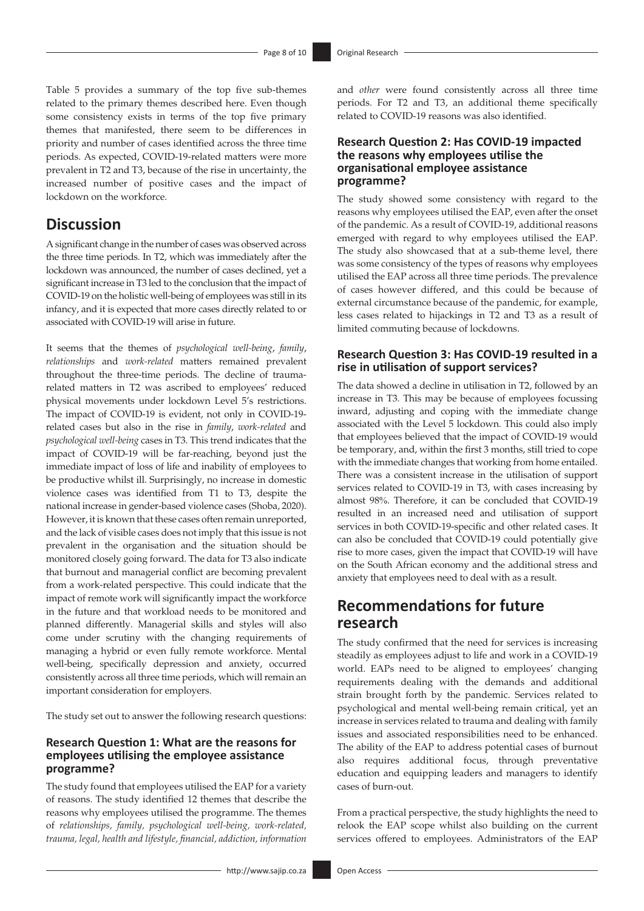Table 5 provides a summary of the top five sub-themes related to the primary themes described here. Even though some consistency exists in terms of the top five primary themes that manifested, there seem to be differences in priority and number of cases identified across the three time periods. As expected, COVID-19-related matters were more prevalent in T2 and T3, because of the rise in uncertainty, the increased number of positive cases and the impact of lockdown on the workforce.

### **Discussion**

A significant change in the number of cases was observed across the three time periods. In T2, which was immediately after the lockdown was announced, the number of cases declined, yet a significant increase in T3 led to the conclusion that the impact of COVID-19 on the holistic well-being of employees was still in its infancy, and it is expected that more cases directly related to or associated with COVID-19 will arise in future.

It seems that the themes of *psychological well-being*, *family*, *relationships* and *work-related* matters remained prevalent throughout the three-time periods. The decline of traumarelated matters in T2 was ascribed to employees' reduced physical movements under lockdown Level 5's restrictions. The impact of COVID-19 is evident, not only in COVID-19 related cases but also in the rise in *family*, *work-related* and *psychological well-being* cases in T3. This trend indicates that the impact of COVID-19 will be far-reaching, beyond just the immediate impact of loss of life and inability of employees to be productive whilst ill. Surprisingly, no increase in domestic violence cases was identified from T1 to T3, despite the national increase in gender-based violence cases (Shoba, 2020). However, it is known that these cases often remain unreported, and the lack of visible cases does not imply that this issue is not prevalent in the organisation and the situation should be monitored closely going forward. The data for T3 also indicate that burnout and managerial conflict are becoming prevalent from a work-related perspective. This could indicate that the impact of remote work will significantly impact the workforce in the future and that workload needs to be monitored and planned differently. Managerial skills and styles will also come under scrutiny with the changing requirements of managing a hybrid or even fully remote workforce. Mental well-being, specifically depression and anxiety, occurred consistently across all three time periods, which will remain an important consideration for employers.

The study set out to answer the following research questions:

### **Research Question 1: What are the reasons for employees utilising the employee assistance programme?**

The study found that employees utilised the EAP for a variety of reasons. The study identified 12 themes that describe the reasons why employees utilised the programme. The themes of *relationships, family, psychological well-being, work-related, trauma, legal, health and lifestyle, financial, addiction, information* 

and *other* were found consistently across all three time periods. For T2 and T3, an additional theme specifically related to COVID-19 reasons was also identified.

### **Research Question 2: Has COVID-19 impacted the reasons why employees utilise the organisational employee assistance programme?**

The study showed some consistency with regard to the reasons why employees utilised the EAP, even after the onset of the pandemic. As a result of COVID-19, additional reasons emerged with regard to why employees utilised the EAP. The study also showcased that at a sub-theme level, there was some consistency of the types of reasons why employees utilised the EAP across all three time periods. The prevalence of cases however differed, and this could be because of external circumstance because of the pandemic, for example, less cases related to hijackings in T2 and T3 as a result of limited commuting because of lockdowns.

### **Research Question 3: Has COVID-19 resulted in a rise in utilisation of support services?**

The data showed a decline in utilisation in T2, followed by an increase in T3. This may be because of employees focussing inward, adjusting and coping with the immediate change associated with the Level 5 lockdown. This could also imply that employees believed that the impact of COVID-19 would be temporary, and, within the first 3 months, still tried to cope with the immediate changes that working from home entailed. There was a consistent increase in the utilisation of support services related to COVID-19 in T3, with cases increasing by almost 98%. Therefore, it can be concluded that COVID-19 resulted in an increased need and utilisation of support services in both COVID-19-specific and other related cases. It can also be concluded that COVID-19 could potentially give rise to more cases, given the impact that COVID-19 will have on the South African economy and the additional stress and anxiety that employees need to deal with as a result.

## **Recommendations for future research**

The study confirmed that the need for services is increasing steadily as employees adjust to life and work in a COVID-19 world. EAPs need to be aligned to employees' changing requirements dealing with the demands and additional strain brought forth by the pandemic. Services related to psychological and mental well-being remain critical, yet an increase in services related to trauma and dealing with family issues and associated responsibilities need to be enhanced. The ability of the EAP to address potential cases of burnout also requires additional focus, through preventative education and equipping leaders and managers to identify cases of burn-out.

From a practical perspective, the study highlights the need to relook the EAP scope whilst also building on the current services offered to employees. Administrators of the EAP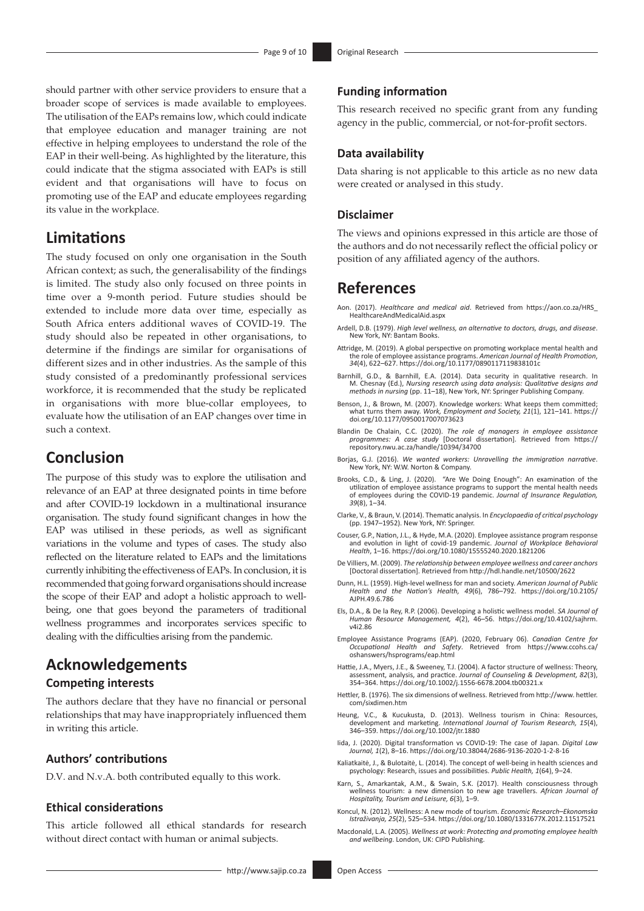should partner with other service providers to ensure that a broader scope of services is made available to employees. The utilisation of the EAPs remains low, which could indicate that employee education and manager training are not effective in helping employees to understand the role of the EAP in their well-being. As highlighted by the literature, this could indicate that the stigma associated with EAPs is still evident and that organisations will have to focus on promoting use of the EAP and educate employees regarding its value in the workplace.

### **Limitations**

The study focused on only one organisation in the South African context; as such, the generalisability of the findings is limited. The study also only focused on three points in time over a 9-month period. Future studies should be extended to include more data over time, especially as South Africa enters additional waves of COVID-19. The study should also be repeated in other organisations, to determine if the findings are similar for organisations of different sizes and in other industries. As the sample of this study consisted of a predominantly professional services workforce, it is recommended that the study be replicated in organisations with more blue-collar employees, to evaluate how the utilisation of an EAP changes over time in such a context.

### **Conclusion**

The purpose of this study was to explore the utilisation and relevance of an EAP at three designated points in time before and after COVID-19 lockdown in a multinational insurance organisation. The study found significant changes in how the EAP was utilised in these periods, as well as significant variations in the volume and types of cases. The study also reflected on the literature related to EAPs and the limitations currently inhibiting the effectiveness of EAPs. In conclusion, it is recommended that going forward organisations should increase the scope of their EAP and adopt a holistic approach to wellbeing, one that goes beyond the parameters of traditional wellness programmes and incorporates services specific to dealing with the difficulties arising from the pandemic.

# **Acknowledgements**

### **Competing interests**

The authors declare that they have no financial or personal relationships that may have inappropriately influenced them in writing this article.

### **Authors' contributions**

D.V. and N.v.A. both contributed equally to this work.

### **Ethical considerations**

This article followed all ethical standards for research without direct contact with human or animal subjects.

### **Funding information**

This research received no specific grant from any funding agency in the public, commercial, or not-for-profit sectors.

### **Data availability**

Data sharing is not applicable to this article as no new data were created or analysed in this study.

### **Disclaimer**

The views and opinions expressed in this article are those of the authors and do not necessarily reflect the official policy or position of any affiliated agency of the authors.

### **References**

- Aon. (2017). *Healthcare and medical aid*. Retrieved from [https://aon.co.za/HRS\\_](https://aon.co.za/HRS_HealthcareAndMedicalAid.aspx) [HealthcareAndMedicalAid.aspx](https://aon.co.za/HRS_HealthcareAndMedicalAid.aspx)
- Ardell, D.B. (1979). *High level wellness, an alternative to doctors, drugs, and disease*. New York, NY: Bantam Books.
- Attridge, M. (2019). A global perspective on promoting workplace mental health and the role of employee assistance programs. *American Journal of Health Promotion*, *34*(4), 622–627.<https://doi.org/10.1177/0890117119838101c>
- Barnhill, G.D., & Barnhill, E.A. (2014). Data security in qualitative research. In M. Chesnay (Ed.), *Nursing research using data analysis: Qualitative designs and methods in nursing* (pp. 11–18), New York, NY: Springer Publishing Company.
- Benson, J., & Brown, M. (2007). Knowledge workers: What keeps them committed; what turns them away. *Work, Employment and Society, 21*(1), 121–141. [https://](https://doi.org/10.1177/0950017007073623) [doi.org/10.1177/0950017007073623](https://doi.org/10.1177/0950017007073623)
- Blandin De Chalain, C.C. (2020). *The role of managers in employee assistance programmes: A case study* [Doctoral dissertation]. Retrieved from [https://](https://repository.nwu.ac.za/handle/10394/34700) [repository.nwu.ac.za/handle/10394/34700](https://repository.nwu.ac.za/handle/10394/34700)
- Borjas, G.J. (2016). *We wanted workers: Unravelling the immigration narrative*. New York, NY: W.W. Norton & Company.
- Brooks, C.D., & Ling, J. (2020). "Are We Doing Enough": An examination of the utilization of employee assistance programs to support the mental health needs of employees during the COVID-19 pandemic. *Journal of Insurance Regulation, 39*(8), 1–34.
- Clarke, V., & Braun, V. (2014). Thematic analysis. In *Encyclopaedia of critical psychology* (pp. 1947–1952). New York, NY: Springer.
- Couser, G.P., Nation, J.L., & Hyde, M.A. (2020). Employee assistance program response and evolution in light of covid-19 pandemic. *Journal of Workplace Behavioral Health*, 1–16. <https://doi.org/10.1080/15555240.2020.1821206>
- De Villiers, M. (2009). *The relationship between employee wellness and career anchors* [Doctoral dissertation]. Retrieved from<http://hdl.handle.net/10500/2622>
- Dunn, H.L. (1959). High-level wellness for man and society. *American Journal of Public Health and the Nation's Health, 49*(6), 786–792. [https://doi.org/10.2105/](https://doi.org/10.2105/AJPH.49.6.786) [AJPH.49.6.786](https://doi.org/10.2105/AJPH.49.6.786)
- Els, D.A., & De la Rey, R.P. (2006). Developing a holistic wellness model. *SA Journal of Human Resource Management, 4*(2), 46–56. [https://doi.org/10.4102/sajhrm.](https://doi.org/10.4102/sajhrm.v4i2.86) [v4i2.86](https://doi.org/10.4102/sajhrm.v4i2.86)
- Employee Assistance Programs (EAP). (2020, February 06). *Canadian Centre for Occupational Health and Safety*. Retrieved from [https://www.ccohs.ca/](https://www.ccohs.ca/oshanswers/hsprograms/eap.html) [oshanswers/hsprograms/eap.html](https://www.ccohs.ca/oshanswers/hsprograms/eap.html)
- Hattie, J.A., Myers, J.E., & Sweeney, T.J. (2004). A factor structure of wellness: Theory, assessment, analysis, and practice. *Journal of Counseling & Development, 82*(3), 354–364.<https://doi.org/10.1002/j.1556-6678.2004.tb00321.x>
- Hettler, B. (1976). The six dimensions of wellness. Retrieved from http://www. [hettler.](http://hettler.com/sixdimen.htm) [com/sixdimen.htm](http://hettler.com/sixdimen.htm)
- Heung, V.C., & Kucukusta, D. (2013). Wellness tourism in China: Resources, development and marketing. *International Journal of Tourism Research, 15*(4), 346–359.<https://doi.org/10.1002/jtr.1880>
- Iida, J. (2020). Digital transformation vs COVID-19: The case of Japan. *Digital Law Journal, 1*(2), 8–16.<https://doi.org/10.38044/2686-9136-2020-1-2-8-16>
- Kaliatkaitė, J., & Bulotaitė, L. (2014). The concept of well-being in health sciences and psychology: Research, issues and possibilities. *Public Health, 1*(64), 9–24.
- Karn, S., Amarkantak, A.M., & Swain, S.K. (2017). Health consciousness through wellness tourism: a new dimension to new age travellers. *African Journal of Hospitality, Tourism and Leisure, 6*(3), 1–9.
- Koncul, N. (2012). Wellness: A new mode of tourism. *Economic Research–Ekonomska Istraživanja, 25*(2), 525–534. <https://doi.org/10.1080/1331677X.2012.11517521>
- Macdonald, L.A. (2005). *Wellness at work: Protecting and promoting employee health and wellbeing*. London, UK: CIPD Publishing.